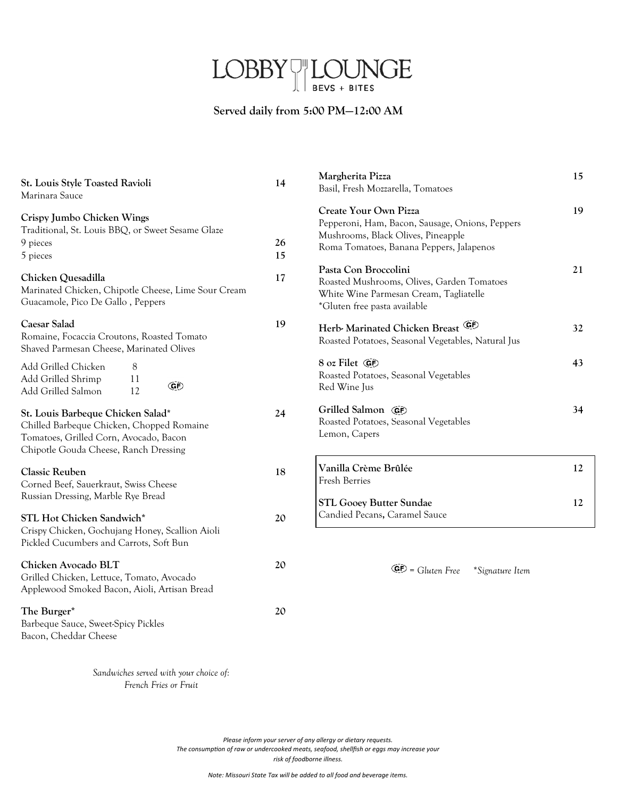# $\text{LOBBY}\text{-}\underset{\text{bevs + BITES}}{\text{LOUNGE}}$

# **Served daily from 5:00 PM—12:00 AM**

| St. Louis Style Toasted Ravioli<br>Marinara Sauce                                                                                                                 | 14       | Margherita Pizza<br>Basil, Fresh Mozzarella, Tomatoes                                                                                                      | 15       |
|-------------------------------------------------------------------------------------------------------------------------------------------------------------------|----------|------------------------------------------------------------------------------------------------------------------------------------------------------------|----------|
| Crispy Jumbo Chicken Wings<br>Traditional, St. Louis BBQ, or Sweet Sesame Glaze<br>9 pieces<br>5 pieces                                                           | 26<br>15 | Create Your Own Pizza<br>Pepperoni, Ham, Bacon, Sausage, Onions, Peppers<br>Mushrooms, Black Olives, Pineapple<br>Roma Tomatoes, Banana Peppers, Jalapenos | 19       |
| Chicken Quesadilla<br>Marinated Chicken, Chipotle Cheese, Lime Sour Cream<br>Guacamole, Pico De Gallo, Peppers                                                    | 17       | Pasta Con Broccolini<br>Roasted Mushrooms, Olives, Garden Tomatoes<br>White Wine Parmesan Cream, Tagliatelle<br>*Gluten free pasta available               | 21       |
| Caesar Salad<br>Romaine, Focaccia Croutons, Roasted Tomato<br>Shaved Parmesan Cheese, Marinated Olives                                                            | 19       | (CF)<br>Herb- Marinated Chicken Breast<br>Roasted Potatoes, Seasonal Vegetables, Natural Jus                                                               | 32       |
| Add Grilled Chicken<br>8<br>Add Grilled Shrimp<br>11<br>ŒÐ<br>12<br>Add Grilled Salmon                                                                            |          | 8 oz Filet GP<br>Roasted Potatoes, Seasonal Vegetables<br>Red Wine Jus                                                                                     | 43       |
| St. Louis Barbeque Chicken Salad*<br>Chilled Barbeque Chicken, Chopped Romaine<br>Tomatoes, Grilled Corn, Avocado, Bacon<br>Chipotle Gouda Cheese, Ranch Dressing | 24       | Grilled Salmon GP<br>Roasted Potatoes, Seasonal Vegetables<br>Lemon, Capers                                                                                | 34       |
| <b>Classic Reuben</b><br>Corned Beef, Sauerkraut, Swiss Cheese<br>Russian Dressing, Marble Rye Bread                                                              | 18       | Vanilla Crème Brûlée<br>Fresh Berries<br><b>STL Gooey Butter Sundae</b>                                                                                    | 12<br>12 |
| STL Hot Chicken Sandwich*<br>Crispy Chicken, Gochujang Honey, Scallion Aioli<br>Pickled Cucumbers and Carrots, Soft Bun                                           | 20       | Candied Pecans, Caramel Sauce                                                                                                                              |          |
| Chicken Avocado BLT<br>Grilled Chicken, Lettuce, Tomato, Avocado<br>Applewood Smoked Bacon, Aioli, Artisan Bread                                                  | 20       | $\overline{\text{GE}}$ = Gluten Free<br>*Signature Item                                                                                                    |          |
| The Burger*<br>Barbeque Sauce, Sweet-Spicy Pickles<br>Bacon, Cheddar Cheese                                                                                       | 20       |                                                                                                                                                            |          |

*Sandwiches served with your choice of: French Fries or Fruit*

> *Please inform your server of any allergy or dietary requests. The consumption of raw or undercooked meats, seafood, shellfish or eggs may increase your risk of foodborne illness.*